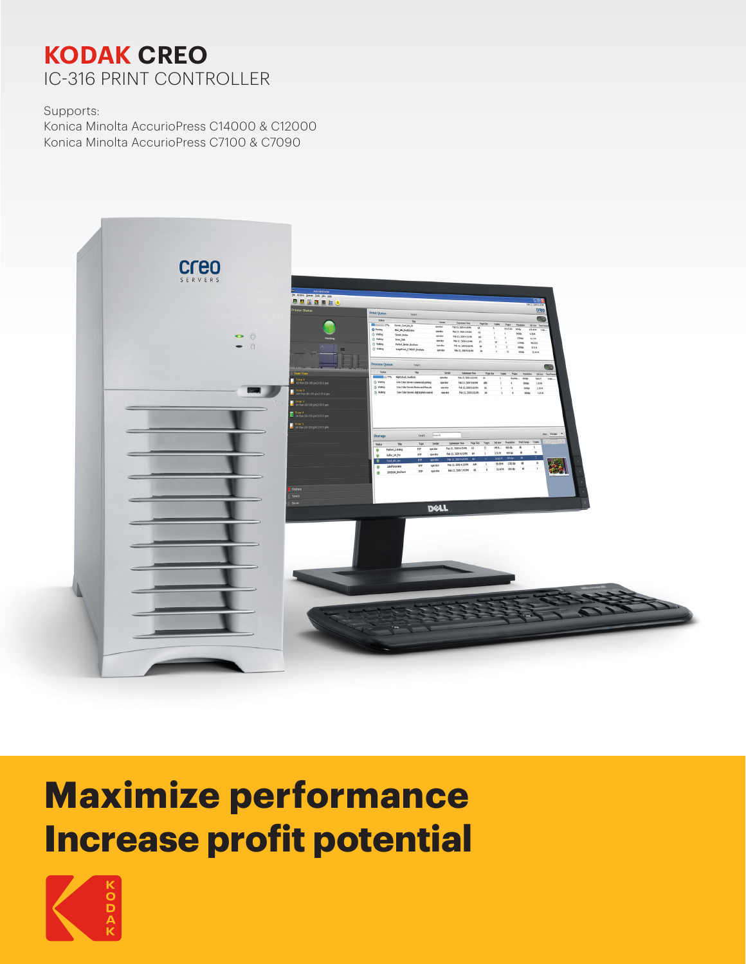## **KODAK CREO** IC-316 PRINT CONTROLLER

Supports:

Konica Minolta AccurioPress C14000 & C12000 Konica Minolta AccurioPress C7100 & C7090



# **Maximize performance Increase profit potential**

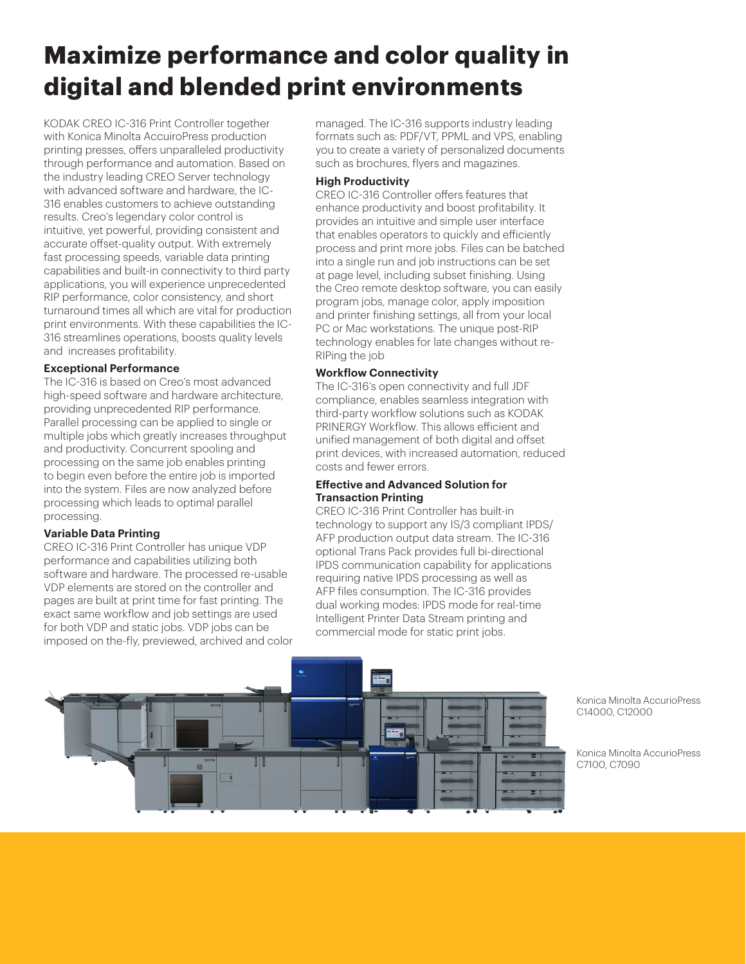## **Maximize performance and color quality in digital and blended print environments**

KODAK CREO IC-316 Print Controller together with Konica Minolta AccuiroPress production printing presses, offers unparalleled productivity through performance and automation. Based on the industry leading CREO Server technology with advanced software and hardware, the IC-316 enables customers to achieve outstanding results. Creo's legendary color control is intuitive, yet powerful, providing consistent and accurate offset-quality output. With extremely fast processing speeds, variable data printing capabilities and built-in connectivity to third party applications, you will experience unprecedented RIP performance, color consistency, and short turnaround times all which are vital for production print environments. With these capabilities the IC-316 streamlines operations, boosts quality levels and increases profitability.

#### **Exceptional Performance**

The IC-316 is based on Creo's most advanced high-speed software and hardware architecture, providing unprecedented RIP performance. Parallel processing can be applied to single or multiple jobs which greatly increases throughput and productivity. Concurrent spooling and processing on the same job enables printing to begin even before the entire job is imported into the system. Files are now analyzed before processing which leads to optimal parallel processing.

#### **Variable Data Printing**

CREO IC-316 Print Controller has unique VDP performance and capabilities utilizing both software and hardware. The processed re-usable VDP elements are stored on the controller and pages are built at print time for fast printing. The exact same workflow and job settings are used for both VDP and static jobs. VDP jobs can be imposed on the-fly, previewed, archived and color managed. The IC-316 supports industry leading formats such as: PDF/VT, PPML and VPS, enabling you to create a variety of personalized documents such as brochures, flyers and magazines.

#### **High Productivity**

CREO IC-316 Controller offers features that enhance productivity and boost profitability. It provides an intuitive and simple user interface that enables operators to quickly and efficiently process and print more jobs. Files can be batched into a single run and job instructions can be set at page level, including subset finishing. Using the Creo remote desktop software, you can easily program jobs, manage color, apply imposition and printer finishing settings, all from your local PC or Mac workstations. The unique post-RIP technology enables for late changes without re-RIPing the job

#### **Workflow Connectivity**

The IC-316's open connectivity and full JDF compliance, enables seamless integration with third-party workflow solutions such as KODAK PRINERGY Workflow. This allows efficient and unified management of both digital and offset print devices, with increased automation, reduced costs and fewer errors.

#### **Effective and Advanced Solution for Transaction Printing**

CREO IC-316 Print Controller has built-in technology to support any IS/3 compliant IPDS/ AFP production output data stream. The IC-316 optional Trans Pack provides full bi-directional IPDS communication capability for applications requiring native IPDS processing as well as AFP files consumption. The IC-316 provides dual working modes: IPDS mode for real-time Intelligent Printer Data Stream printing and commercial mode for static print jobs.



Konica Minolta AccurioPress C14000, C12000

Konica Minolta AccurioPress C7100, C7090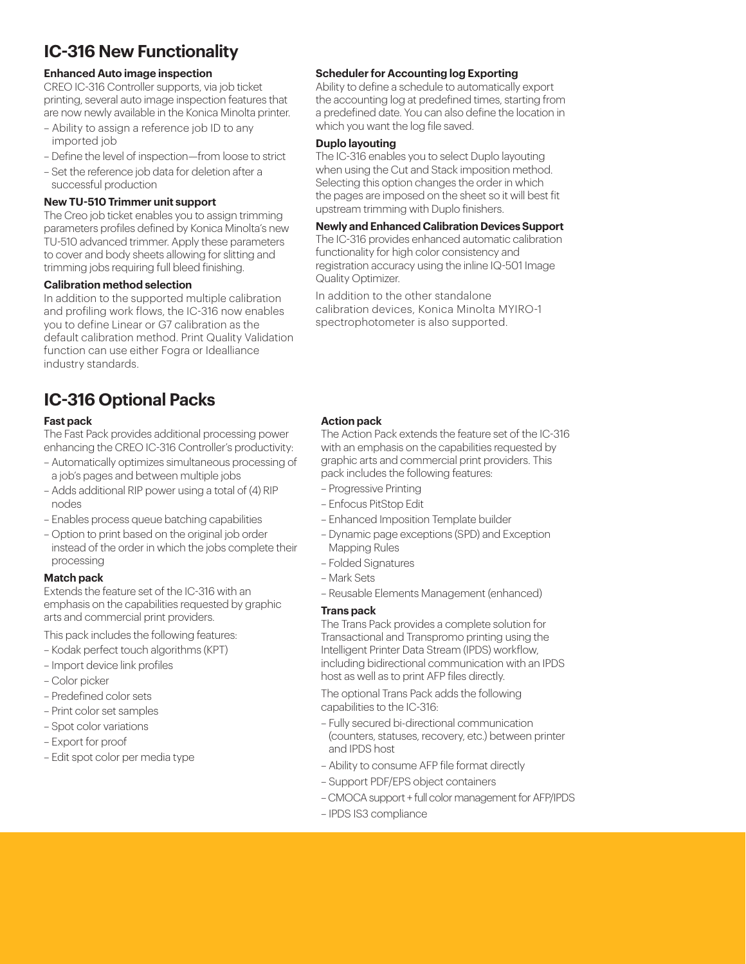### **IC-316 New Functionality**

#### **Enhanced Auto image inspection**

CREO IC-316 Controller supports, via job ticket printing, several auto image inspection features that are now newly available in the Konica Minolta printer.

- Ability to assign a reference job ID to any imported job
- Define the level of inspection—from loose to strict
- Set the reference job data for deletion after a successful production

#### **New TU-510 Trimmer unit support**

The Creo job ticket enables you to assign trimming parameters profiles defined by Konica Minolta's new TU-510 advanced trimmer. Apply these parameters to cover and body sheets allowing for slitting and trimming jobs requiring full bleed finishing.

#### **Calibration method selection**

In addition to the supported multiple calibration and profiling work flows, the IC-316 now enables you to define Linear or G7 calibration as the default calibration method. Print Quality Validation function can use either Fogra or Idealliance industry standards.

## **IC-316 Optional Packs**

#### **Fast pack**

The Fast Pack provides additional processing power enhancing the CREO IC-316 Controller's productivity:

- Automatically optimizes simultaneous processing of a job's pages and between multiple jobs
- Adds additional RIP power using a total of (4) RIP nodes
- Enables process queue batching capabilities
- Option to print based on the original job order instead of the order in which the jobs complete their processing

#### **Match pack**

Extends the feature set of the IC-316 with an emphasis on the capabilities requested by graphic arts and commercial print providers.

This pack includes the following features:

- Kodak perfect touch algorithms (KPT)
- Import device link profiles
- Color picker
- Predefined color sets
- Print color set samples
- Spot color variations
- Export for proof
- Edit spot color per media type

#### **Scheduler for Accounting log Exporting**

Ability to define a schedule to automatically export the accounting log at predefined times, starting from a predefined date. You can also define the location in which you want the log file saved.

#### **Duplo layouting**

The IC-316 enables you to select Duplo layouting when using the Cut and Stack imposition method. Selecting this option changes the order in which the pages are imposed on the sheet so it will best fit upstream trimming with Duplo finishers.

#### **Newly and Enhanced Calibration Devices Support**

The IC-316 provides enhanced automatic calibration functionality for high color consistency and registration accuracy using the inline IQ-501 Image Quality Optimizer.

In addition to the other standalone calibration devices, Konica Minolta MYIRO-1 spectrophotometer is also supported.

#### **Action pack**

The Action Pack extends the feature set of the IC-316 with an emphasis on the capabilities requested by graphic arts and commercial print providers. This pack includes the following features:

- Progressive Printing
- Enfocus PitStop Edit
- Enhanced Imposition Template builder
- Dynamic page exceptions (SPD) and Exception Mapping Rules
- Folded Signatures
- Mark Sets
- Reusable Elements Management (enhanced)

#### **Trans pack**

The Trans Pack provides a complete solution for Transactional and Transpromo printing using the Intelligent Printer Data Stream (IPDS) workflow, including bidirectional communication with an IPDS host as well as to print AFP files directly.

The optional Trans Pack adds the following capabilities to the IC-316:

- Fully secured bi-directional communication (counters, statuses, recovery, etc.) between printer and IPDS host
- Ability to consume AFP file format directly
- Support PDF/EPS object containers
- CMOCA support + full color management for AFP/IPDS
- IPDS IS3 compliance